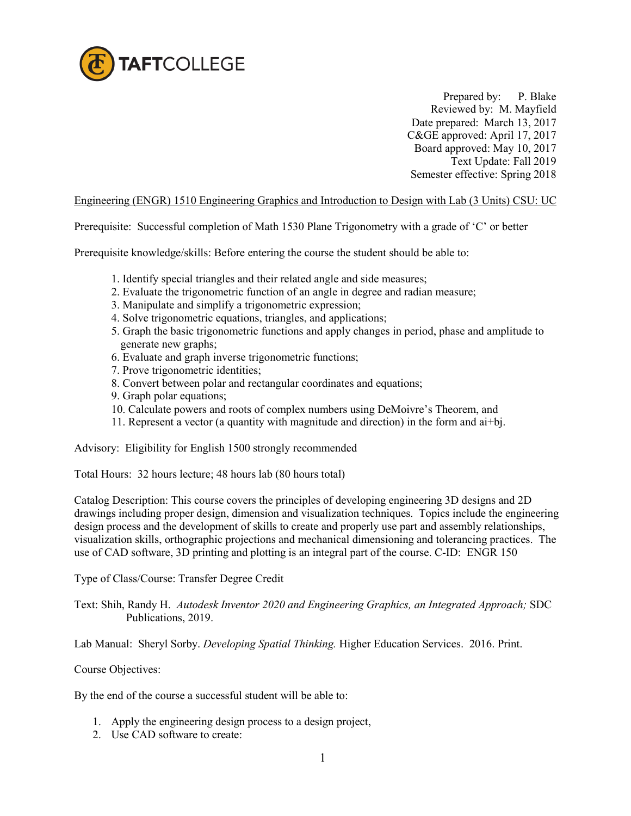

 Prepared by: P. Blake Reviewed by: M. Mayfield Date prepared: March 13, 2017 C&GE approved: April 17, 2017 Board approved: May 10, 2017 Text Update: Fall 2019 Semester effective: Spring 2018

## Engineering (ENGR) 1510 Engineering Graphics and Introduction to Design with Lab (3 Units) CSU: UC

Prerequisite: Successful completion of Math 1530 Plane Trigonometry with a grade of 'C' or better

Prerequisite knowledge/skills: Before entering the course the student should be able to:

- 1. Identify special triangles and their related angle and side measures;
- 2. Evaluate the trigonometric function of an angle in degree and radian measure;
- 3. Manipulate and simplify a trigonometric expression;
- 4. Solve trigonometric equations, triangles, and applications;
- 5. Graph the basic trigonometric functions and apply changes in period, phase and amplitude to generate new graphs;
- 6. Evaluate and graph inverse trigonometric functions;
- 7. Prove trigonometric identities;
- 8. Convert between polar and rectangular coordinates and equations;
- 9. Graph polar equations;
- 10. Calculate powers and roots of complex numbers using DeMoivre's Theorem, and
- 11. Represent a vector (a quantity with magnitude and direction) in the form and ai+bj.

Advisory: Eligibility for English 1500 strongly recommended

Total Hours: 32 hours lecture; 48 hours lab (80 hours total)

Catalog Description: This course covers the principles of developing engineering 3D designs and 2D drawings including proper design, dimension and visualization techniques. Topics include the engineering design process and the development of skills to create and properly use part and assembly relationships, visualization skills, orthographic projections and mechanical dimensioning and tolerancing practices. The use of CAD software, 3D printing and plotting is an integral part of the course. C-ID: ENGR 150

Type of Class/Course: Transfer Degree Credit

Text: Shih, Randy H. *Autodesk Inventor 2020 and Engineering Graphics, an Integrated Approach;* SDC Publications, 2019.

Lab Manual: Sheryl Sorby. *Developing Spatial Thinking.* Higher Education Services. 2016. Print.

Course Objectives:

By the end of the course a successful student will be able to:

- 1. Apply the engineering design process to a design project,
- 2. Use CAD software to create: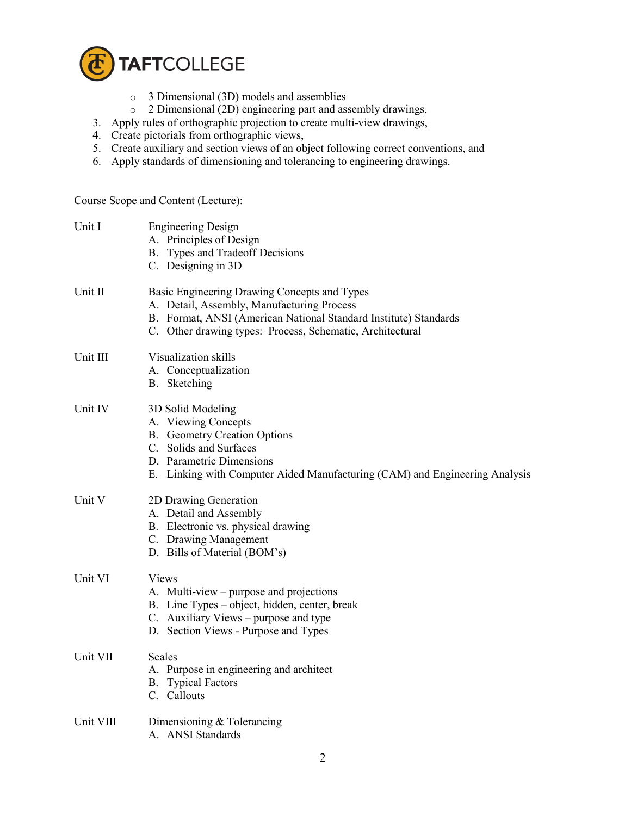

- o 3 Dimensional (3D) models and assemblies
- o 2 Dimensional (2D) engineering part and assembly drawings,
- 3. Apply rules of orthographic projection to create multi-view drawings,
- 4. Create pictorials from orthographic views,
- 5. Create auxiliary and section views of an object following correct conventions, and
- 6. Apply standards of dimensioning and tolerancing to engineering drawings.

Course Scope and Content (Lecture):

| Unit I    | <b>Engineering Design</b><br>A. Principles of Design<br>B. Types and Tradeoff Decisions<br>C. Designing in 3D                                                                                                               |
|-----------|-----------------------------------------------------------------------------------------------------------------------------------------------------------------------------------------------------------------------------|
| Unit II   | Basic Engineering Drawing Concepts and Types<br>A. Detail, Assembly, Manufacturing Process<br>B. Format, ANSI (American National Standard Institute) Standards<br>C. Other drawing types: Process, Schematic, Architectural |
| Unit III  | Visualization skills<br>A. Conceptualization<br>B. Sketching                                                                                                                                                                |
| Unit IV   | 3D Solid Modeling<br>A. Viewing Concepts<br><b>B.</b> Geometry Creation Options<br>C. Solids and Surfaces<br>D. Parametric Dimensions<br>E. Linking with Computer Aided Manufacturing (CAM) and Engineering Analysis        |
| Unit V    | 2D Drawing Generation<br>A. Detail and Assembly<br>B. Electronic vs. physical drawing<br>C. Drawing Management<br>D. Bills of Material (BOM's)                                                                              |
| Unit VI   | Views<br>A. Multi-view – purpose and projections<br>B. Line Types – object, hidden, center, break<br>C. Auxiliary Views – purpose and type<br>D. Section Views - Purpose and Types                                          |
| Unit VII  | Scales<br>A. Purpose in engineering and architect<br><b>B.</b> Typical Factors<br>C. Callouts                                                                                                                               |
| Unit VIII | Dimensioning $&$ Tolerancing<br>A. ANSI Standards                                                                                                                                                                           |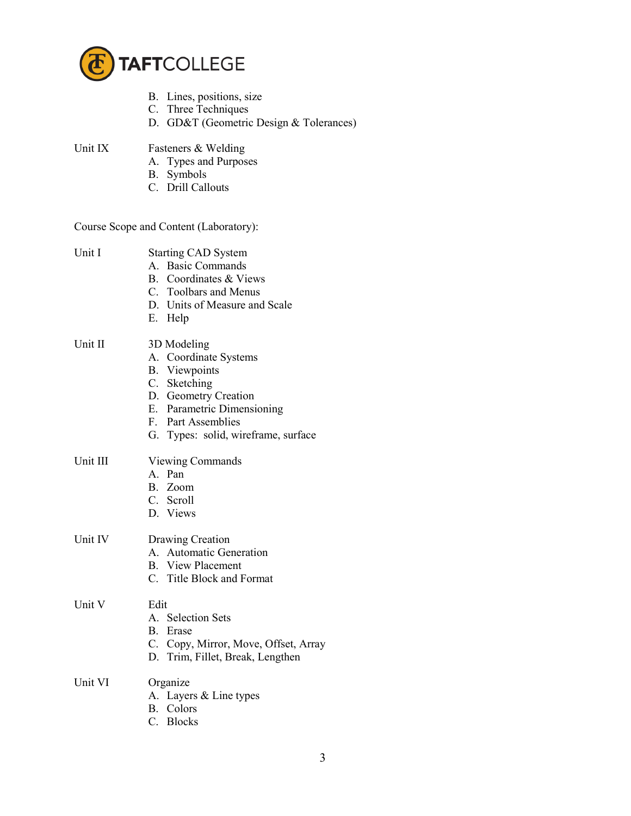

- B. Lines, positions, size
- C. Three Techniques
- D. GD&T (Geometric Design & Tolerances)
- Unit IX Fasteners & Welding
	- A. Types and Purposes
	- B. Symbols
	- C. Drill Callouts

## Course Scope and Content (Laboratory):

| Unit I   | <b>Starting CAD System</b><br>A. Basic Commands<br>B. Coordinates & Views<br>C. Toolbars and Menus<br>D. Units of Measure and Scale<br>E. Help                                                  |
|----------|-------------------------------------------------------------------------------------------------------------------------------------------------------------------------------------------------|
| Unit II  | 3D Modeling<br>A. Coordinate Systems<br><b>B.</b> Viewpoints<br>C. Sketching<br>D. Geometry Creation<br>E. Parametric Dimensioning<br>F. Part Assemblies<br>G. Types: solid, wireframe, surface |
| Unit III | <b>Viewing Commands</b><br>A Pan<br>B. Zoom<br>C. Scroll<br>D. Views                                                                                                                            |
| Unit IV  | Drawing Creation<br>A. Automatic Generation<br><b>B.</b> View Placement<br>C. Title Block and Format                                                                                            |
| Unit V   | Edit<br>A. Selection Sets<br>B. Erase<br>C. Copy, Mirror, Move, Offset, Array<br>D. Trim, Fillet, Break, Lengthen                                                                               |
| Unit VI  | Organize<br>A. Layers & Line types<br>B. Colors<br>C. Blocks                                                                                                                                    |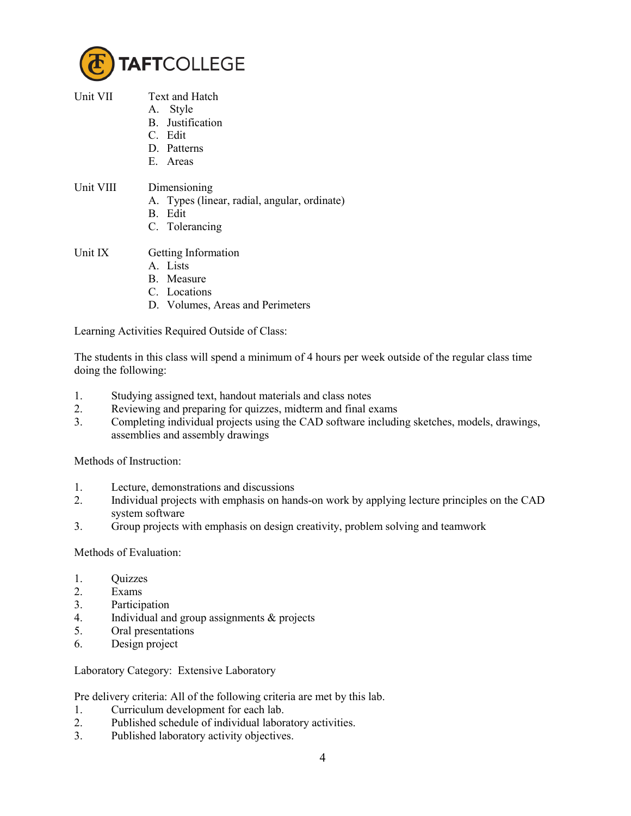

- Unit VII Text and Hatch
	- A. Style
		- B. Justification
		- C. Edit
		- D. Patterns
		- E. Areas

## Unit VIII Dimensioning

- A. Types (linear, radial, angular, ordinate)
- B. Edit
- C. Tolerancing
- Unit IX Getting Information
	- A. Lists
	- B. Measure
	- C. Locations
	- D. Volumes, Areas and Perimeters

Learning Activities Required Outside of Class:

The students in this class will spend a minimum of 4 hours per week outside of the regular class time doing the following:

- 1. Studying assigned text, handout materials and class notes
- 2. Reviewing and preparing for quizzes, midterm and final exams
- 3. Completing individual projects using the CAD software including sketches, models, drawings, assemblies and assembly drawings

Methods of Instruction:

- 1. Lecture, demonstrations and discussions
- 2. Individual projects with emphasis on hands-on work by applying lecture principles on the CAD system software
- 3. Group projects with emphasis on design creativity, problem solving and teamwork

## Methods of Evaluation:

- 1. Quizzes
- 2. Exams
- 3. Participation
- 4. Individual and group assignments & projects
- 5. Oral presentations
- 6. Design project

Laboratory Category: Extensive Laboratory

Pre delivery criteria: All of the following criteria are met by this lab.

- 1. Curriculum development for each lab.
- 2. Published schedule of individual laboratory activities.
- 3. Published laboratory activity objectives.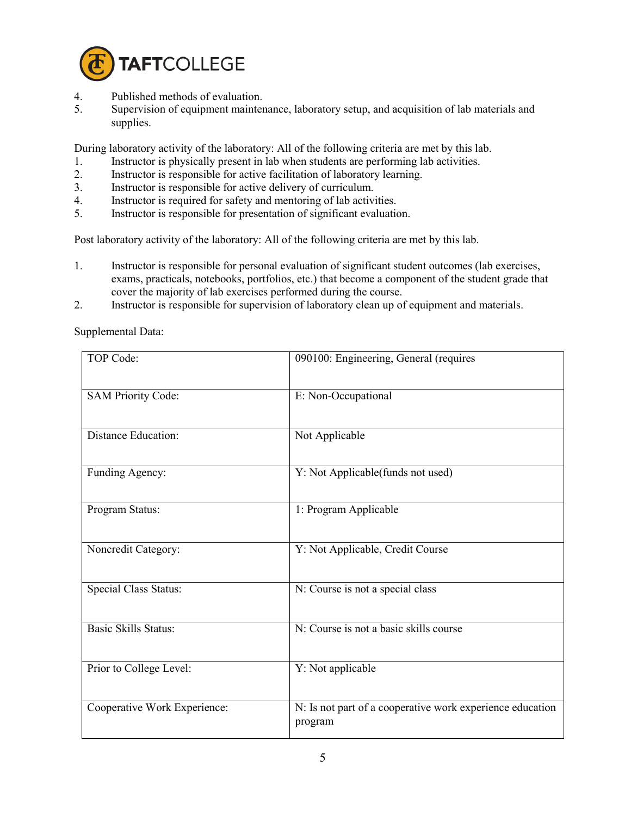

- 4. Published methods of evaluation.<br>5. Supervision of equipment mainter
- Supervision of equipment maintenance, laboratory setup, and acquisition of lab materials and supplies.

During laboratory activity of the laboratory: All of the following criteria are met by this lab.

- 1. Instructor is physically present in lab when students are performing lab activities.
- 2. Instructor is responsible for active facilitation of laboratory learning.
- 3. Instructor is responsible for active delivery of curriculum.<br>4. Instructor is required for safety and mentoring of lab activi
- Instructor is required for safety and mentoring of lab activities.
- 5. Instructor is responsible for presentation of significant evaluation.

Post laboratory activity of the laboratory: All of the following criteria are met by this lab.

- 1. Instructor is responsible for personal evaluation of significant student outcomes (lab exercises, exams, practicals, notebooks, portfolios, etc.) that become a component of the student grade that cover the majority of lab exercises performed during the course.
- 2. Instructor is responsible for supervision of laboratory clean up of equipment and materials.

Supplemental Data:

| TOP Code:                    | 090100: Engineering, General (requires                               |
|------------------------------|----------------------------------------------------------------------|
| <b>SAM Priority Code:</b>    | E: Non-Occupational                                                  |
| <b>Distance Education:</b>   | Not Applicable                                                       |
| Funding Agency:              | Y: Not Applicable(funds not used)                                    |
| Program Status:              | 1: Program Applicable                                                |
| Noncredit Category:          | Y: Not Applicable, Credit Course                                     |
| <b>Special Class Status:</b> | N: Course is not a special class                                     |
| <b>Basic Skills Status:</b>  | N: Course is not a basic skills course                               |
| Prior to College Level:      | Y: Not applicable                                                    |
| Cooperative Work Experience: | N: Is not part of a cooperative work experience education<br>program |